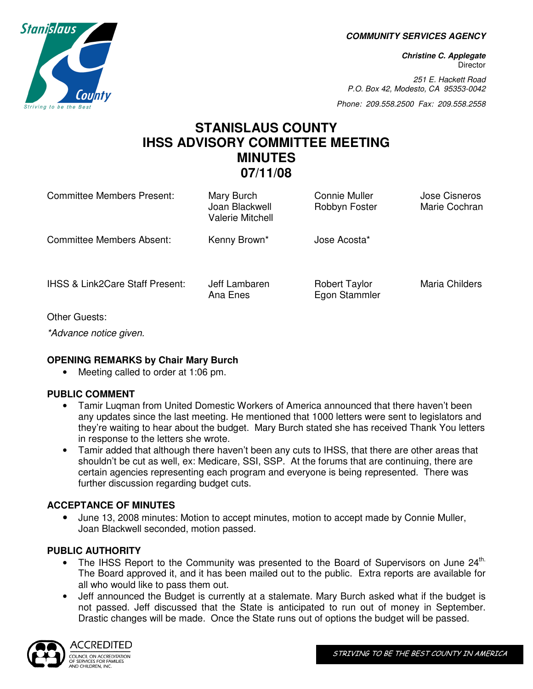**COMMUNITY SERVICES AGENCY** 

**Christine C. Applegate Director** 

251 E. Hackett Road P.O. Box 42, Modesto, CA 95353-0042

Phone: 209.558.2500 Fax: 209.558.2558

# **STANISLAUS COUNTY IHSS ADVISORY COMMITTEE MEETING MINUTES 07/11/08**

| <b>Committee Members Present:</b>          | Mary Burch<br>Joan Blackwell<br><b>Valerie Mitchell</b> | Connie Muller<br>Robbyn Foster        | <b>Jose Cisneros</b><br>Marie Cochran |
|--------------------------------------------|---------------------------------------------------------|---------------------------------------|---------------------------------------|
| <b>Committee Members Absent:</b>           | Kenny Brown*                                            | Jose Acosta*                          |                                       |
| <b>IHSS &amp; Link2Care Staff Present:</b> | Jeff Lambaren<br>Ana Enes                               | <b>Robert Taylor</b><br>Egon Stammler | Maria Childers                        |
| Other Guests:                              |                                                         |                                       |                                       |

\*Advance notice given.

## **OPENING REMARKS by Chair Mary Burch**

• Meeting called to order at 1:06 pm.

## **PUBLIC COMMENT**

- Tamir Luqman from United Domestic Workers of America announced that there haven't been any updates since the last meeting. He mentioned that 1000 letters were sent to legislators and they're waiting to hear about the budget. Mary Burch stated she has received Thank You letters in response to the letters she wrote.
- Tamir added that although there haven't been any cuts to IHSS, that there are other areas that shouldn't be cut as well, ex: Medicare, SSI, SSP. At the forums that are continuing, there are certain agencies representing each program and everyone is being represented. There was further discussion regarding budget cuts.

## **ACCEPTANCE OF MINUTES**

• June 13, 2008 minutes: Motion to accept minutes, motion to accept made by Connie Muller, Joan Blackwell seconded, motion passed.

## **PUBLIC AUTHORITY**

- The IHSS Report to the Community was presented to the Board of Supervisors on June  $24^{\text{th}}$ . The Board approved it, and it has been mailed out to the public. Extra reports are available for all who would like to pass them out.
- Jeff announced the Budget is currently at a stalemate. Mary Burch asked what if the budget is not passed. Jeff discussed that the State is anticipated to run out of money in September. Drastic changes will be made. Once the State runs out of options the budget will be passed.



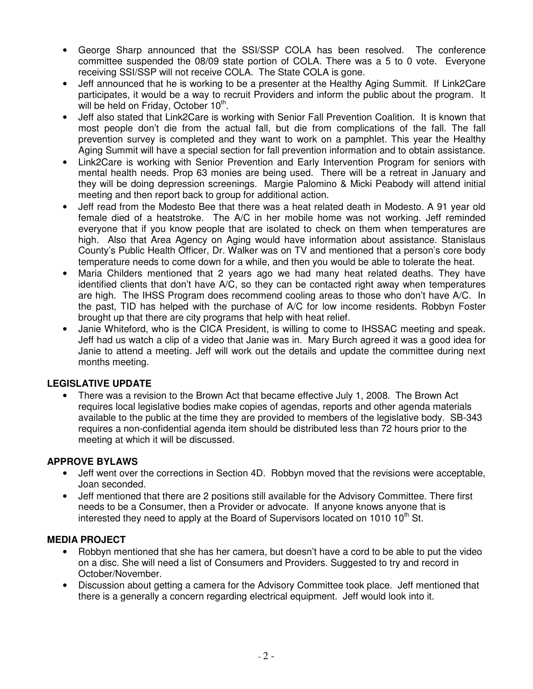- George Sharp announced that the SSI/SSP COLA has been resolved. The conference committee suspended the 08/09 state portion of COLA. There was a 5 to 0 vote. Everyone receiving SSI/SSP will not receive COLA. The State COLA is gone.
- Jeff announced that he is working to be a presenter at the Healthy Aging Summit. If Link2Care participates, it would be a way to recruit Providers and inform the public about the program. It will be held on Friday, October 10<sup>th</sup>.
- Jeff also stated that Link2Care is working with Senior Fall Prevention Coalition. It is known that most people don't die from the actual fall, but die from complications of the fall. The fall prevention survey is completed and they want to work on a pamphlet. This year the Healthy Aging Summit will have a special section for fall prevention information and to obtain assistance.
- Link2Care is working with Senior Prevention and Early Intervention Program for seniors with mental health needs. Prop 63 monies are being used. There will be a retreat in January and they will be doing depression screenings. Margie Palomino & Micki Peabody will attend initial meeting and then report back to group for additional action.
- Jeff read from the Modesto Bee that there was a heat related death in Modesto. A 91 year old female died of a heatstroke. The A/C in her mobile home was not working. Jeff reminded everyone that if you know people that are isolated to check on them when temperatures are high. Also that Area Agency on Aging would have information about assistance. Stanislaus County's Public Health Officer, Dr. Walker was on TV and mentioned that a person's core body temperature needs to come down for a while, and then you would be able to tolerate the heat.
- Maria Childers mentioned that 2 years ago we had many heat related deaths. They have identified clients that don't have A/C, so they can be contacted right away when temperatures are high. The IHSS Program does recommend cooling areas to those who don't have A/C. In the past, TID has helped with the purchase of A/C for low income residents. Robbyn Foster brought up that there are city programs that help with heat relief.
- Janie Whiteford, who is the CICA President, is willing to come to IHSSAC meeting and speak. Jeff had us watch a clip of a video that Janie was in. Mary Burch agreed it was a good idea for Janie to attend a meeting. Jeff will work out the details and update the committee during next months meeting.

## **LEGISLATIVE UPDATE**

• There was a revision to the Brown Act that became effective July 1, 2008. The Brown Act requires local legislative bodies make copies of agendas, reports and other agenda materials available to the public at the time they are provided to members of the legislative body. SB-343 requires a non-confidential agenda item should be distributed less than 72 hours prior to the meeting at which it will be discussed.

## **APPROVE BYLAWS**

- Jeff went over the corrections in Section 4D. Robbyn moved that the revisions were acceptable, Joan seconded.
- Jeff mentioned that there are 2 positions still available for the Advisory Committee. There first needs to be a Consumer, then a Provider or advocate. If anyone knows anyone that is interested they need to apply at the Board of Supervisors located on 1010 10<sup>th</sup> St.

## **MEDIA PROJECT**

- Robbyn mentioned that she has her camera, but doesn't have a cord to be able to put the video on a disc. She will need a list of Consumers and Providers. Suggested to try and record in October/November.
- Discussion about getting a camera for the Advisory Committee took place. Jeff mentioned that there is a generally a concern regarding electrical equipment. Jeff would look into it.